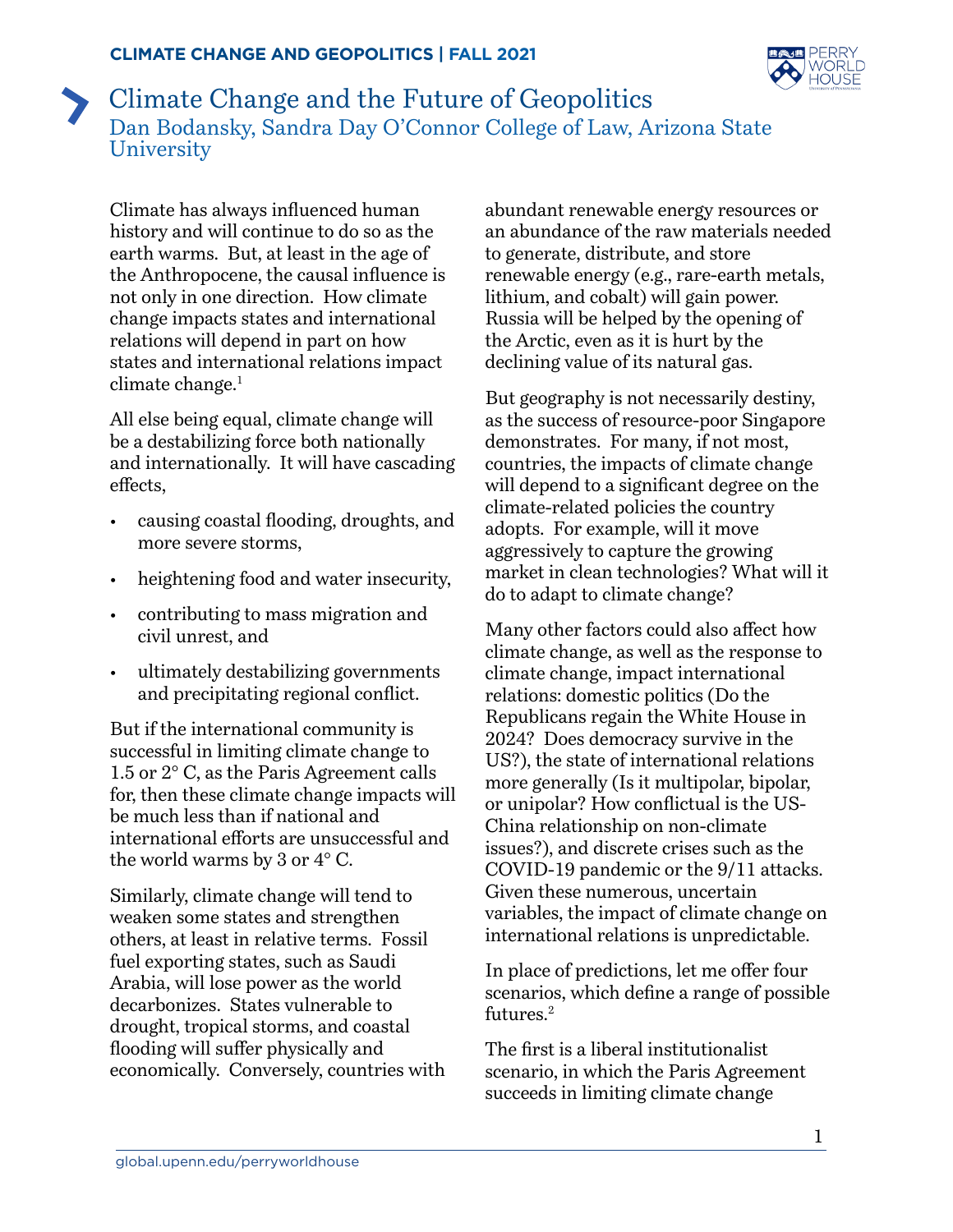

## <span id="page-0-0"></span>Climate Change and the Future of Geopolitics Dan Bodansky, Sandra Day O'Connor College of Law, Arizona State **University**

Climate has always influenced human history and will continue to do so as the earth warms. But, at least in the age of the Anthropocene, the causal influence is not only in one direction. How climate change impacts states and international relations will depend in part on how states and international relations impact climate change.<sup>[1](#page-2-0)</sup>

All else being equal, climate change will be a destabilizing force both nationally and internationally. It will have cascading effects,

- causing coastal flooding, droughts, and more severe storms,
- heightening food and water insecurity.
- contributing to mass migration and civil unrest, and
- ultimately destabilizing governments and precipitating regional conflict.

But if the international community is successful in limiting climate change to 1.5 or 2° C, as the Paris Agreement calls for, then these climate change impacts will be much less than if national and international efforts are unsuccessful and the world warms by 3 or 4° C.

Similarly, climate change will tend to weaken some states and strengthen others, at least in relative terms. Fossil fuel exporting states, such as Saudi Arabia, will lose power as the world decarbonizes. States vulnerable to drought, tropical storms, and coastal flooding will suffer physically and economically. Conversely, countries with

abundant renewable energy resources or an abundance of the raw materials needed to generate, distribute, and store renewable energy (e.g., rare-earth metals, lithium, and cobalt) will gain power. Russia will be helped by the opening of the Arctic, even as it is hurt by the declining value of its natural gas.

But geography is not necessarily destiny, as the success of resource-poor Singapore demonstrates. For many, if not most, countries, the impacts of climate change will depend to a significant degree on the climate-related policies the country adopts. For example, will it move aggressively to capture the growing market in clean technologies? What will it do to adapt to climate change?

Many other factors could also affect how climate change, as well as the response to climate change, impact international relations: domestic politics (Do the Republicans regain the White House in 2024? Does democracy survive in the US?), the state of international relations more generally (Is it multipolar, bipolar, or unipolar? How conflictual is the US-China relationship on non-climate issues?), and discrete crises such as the COVID-19 pandemic or the 9/11 attacks. Given these numerous, uncertain variables, the impact of climate change on international relations is unpredictable.

In place of predictions, let me offer four scenarios, which define a range of possible futures.<sup>[2](#page-2-0)</sup>

The first is a liberal institutionalist scenario, in which the Paris Agreement succeeds in limiting climate change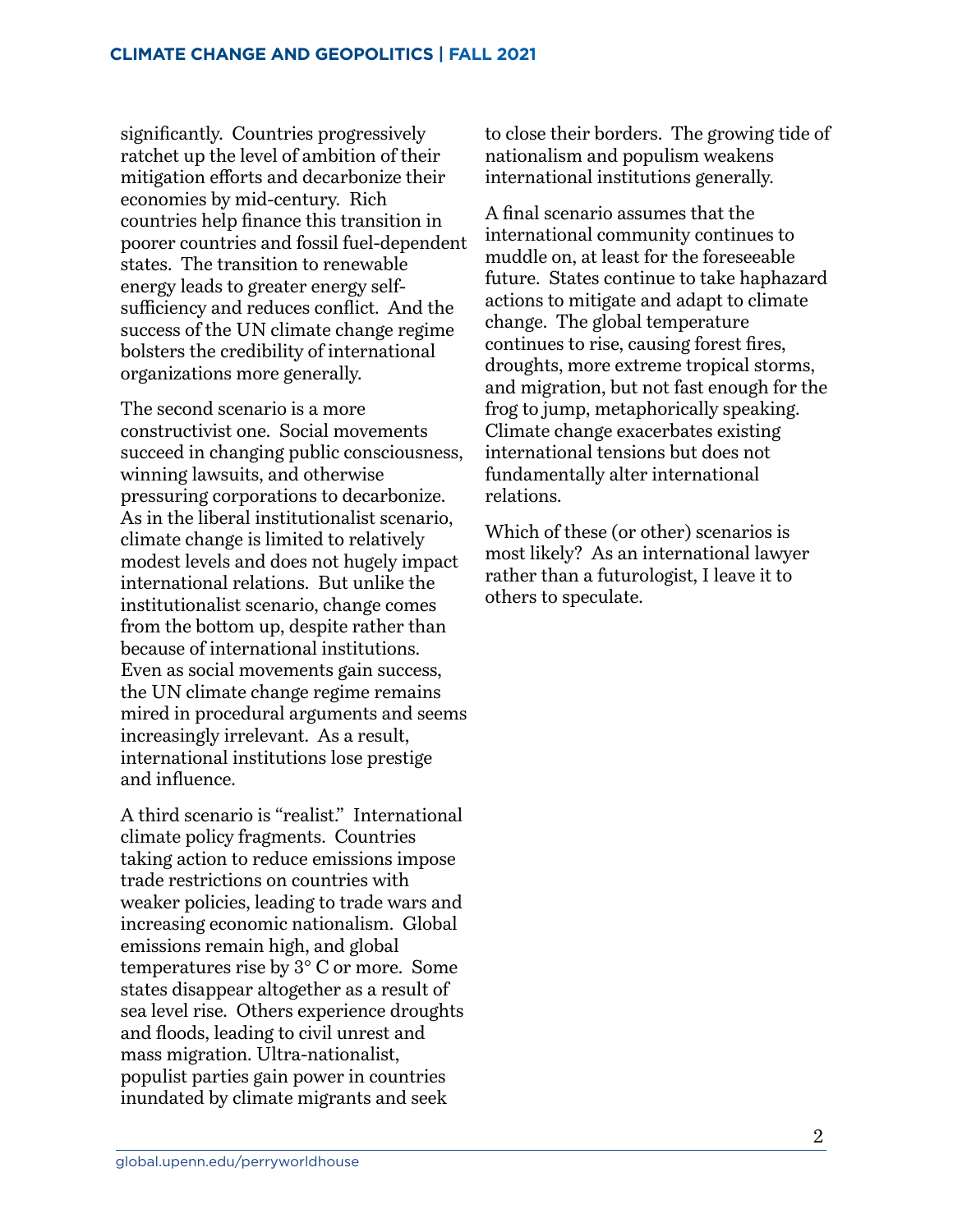significantly. Countries progressively ratchet up the level of ambition of their mitigation efforts and decarbonize their economies by mid-century. Rich countries help finance this transition in poorer countries and fossil fuel-dependent states. The transition to renewable energy leads to greater energy selfsufficiency and reduces conflict. And the success of the UN climate change regime bolsters the credibility of international organizations more generally.

The second scenario is a more constructivist one. Social movements succeed in changing public consciousness, winning lawsuits, and otherwise pressuring corporations to decarbonize. As in the liberal institutionalist scenario, climate change is limited to relatively modest levels and does not hugely impact international relations. But unlike the institutionalist scenario, change comes from the bottom up, despite rather than because of international institutions. Even as social movements gain success, the UN climate change regime remains mired in procedural arguments and seems increasingly irrelevant. As a result, international institutions lose prestige and influence.

A third scenario is "realist." International climate policy fragments. Countries taking action to reduce emissions impose trade restrictions on countries with weaker policies, leading to trade wars and increasing economic nationalism. Global emissions remain high, and global temperatures rise by 3° C or more. Some states disappear altogether as a result of sea level rise. Others experience droughts and floods, leading to civil unrest and mass migration. Ultra-nationalist, populist parties gain power in countries inundated by climate migrants and seek

to close their borders. The growing tide of nationalism and populism weakens international institutions generally.

A final scenario assumes that the international community continues to muddle on, at least for the foreseeable future. States continue to take haphazard actions to mitigate and adapt to climate change. The global temperature continues to rise, causing forest fires, droughts, more extreme tropical storms, and migration, but not fast enough for the frog to jump, metaphorically speaking. Climate change exacerbates existing international tensions but does not fundamentally alter international relations.

Which of these (or other) scenarios is most likely? As an international lawyer rather than a futurologist, I leave it to others to speculate.